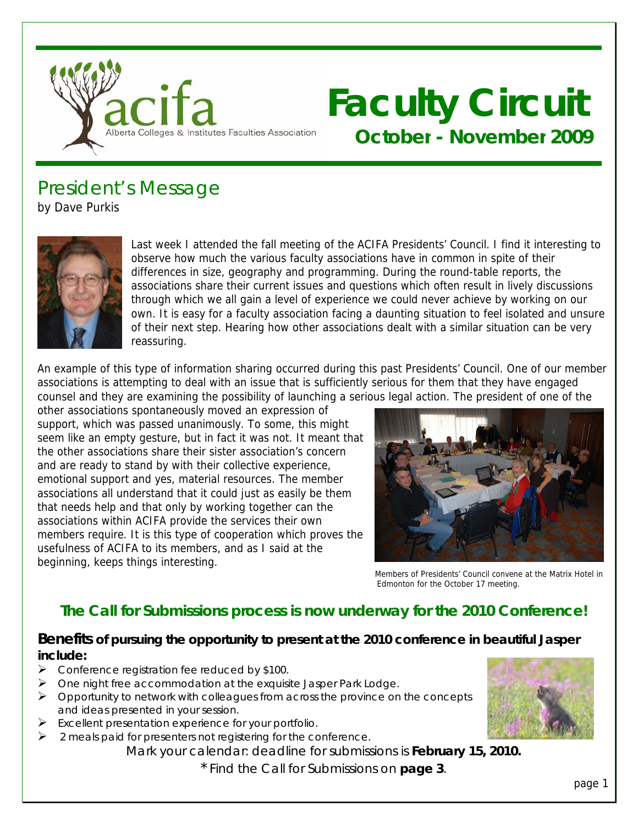

# **Faculty Circuit October - November 2009**

President's Message by Dave Purkis



Last week I attended the fall meeting of the ACIFA Presidents' Council. I find it interesting to observe how much the various faculty associations have in common in spite of their differences in size, geography and programming. During the round-table reports, the associations share their current issues and questions which often result in lively discussions through which we all gain a level of experience we could never achieve by working on our own. It is easy for a faculty association facing a daunting situation to feel isolated and unsure of their next step. Hearing how other associations dealt with a similar situation can be very reassuring.

An example of this type of information sharing occurred during this past Presidents' Council. One of our member associations is attempting to deal with an issue that is sufficiently serious for them that they have engaged counsel and they are examining the possibility of launching a serious legal action. The president of one of the

other associations spontaneously moved an expression of support, which was passed unanimously. To some, this might seem like an empty gesture, but in fact it was not. It meant that the other associations share their sister association's concern and are ready to stand by with their collective experience, emotional support and yes, material resources. The member associations all understand that it could just as easily be them that needs help and that only by working together can the associations within ACIFA provide the services their own members require. It is this type of cooperation which proves the usefulness of ACIFA to its members, and as I said at the beginning, keeps things interesting.



Members of Presidents' Council convene at the Matrix Hotel in Edmonton for the October 17 meeting.

### **The Call for Submissions process is now underway for the 2010 Conference!**

### **Benefits of pursuing the opportunity to present at the 2010 conference in beautiful Jasper include:**

- Conference registration fee reduced by \$100.
- $\triangleright$  One night free accommodation at the exquisite Jasper Park Lodge.
- $\triangleright$  Opportunity to network with colleagues from across the province on the concepts and ideas presented in your session.
- $\triangleright$  Excellent presentation experience for your portfolio.
- 2 meals paid for presenters not registering for the conference.

Mark your calendar: deadline for submissions is **February 15, 2010.**

\* Find the Call for Submissions on **page 3**.

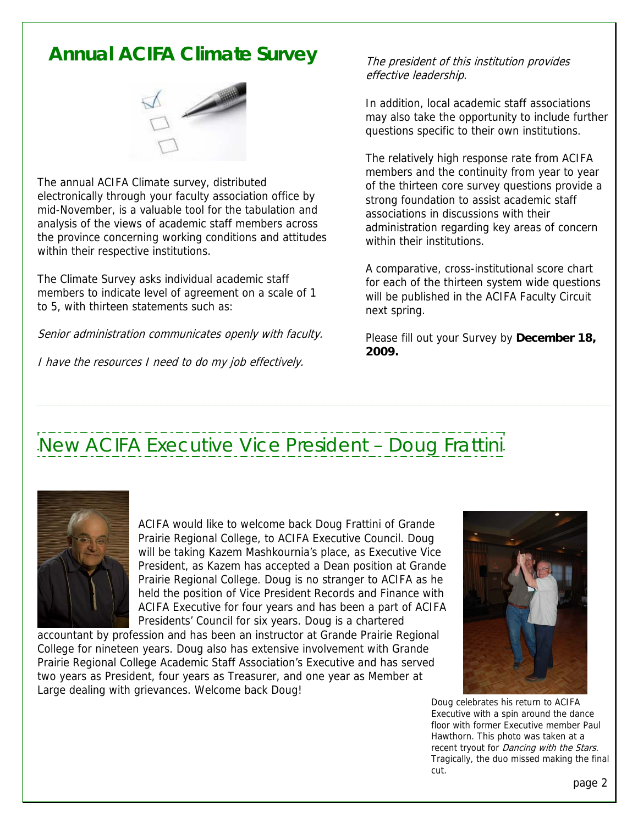### **Annual ACIFA Climate Survey** The president of this institution provides



The annual ACIFA Climate survey, distributed electronically through your faculty association office by mid-November, is a valuable tool for the tabulation and analysis of the views of academic staff members across the province concerning working conditions and attitudes within their respective institutions.

The Climate Survey asks individual academic staff members to indicate level of agreement on a scale of 1 to 5, with thirteen statements such as:

Senior administration communicates openly with faculty. Please fill out your Survey by December 18,

I have the resources I need to do my job effectively.

effective leadership.

In addition, local academic staff associations may also take the opportunity to include further questions specific to their own institutions.

The relatively high response rate from ACIFA members and the continuity from year to year of the thirteen core survey questions provide a strong foundation to assist academic staff associations in discussions with their administration regarding key areas of concern within their institutions.

A comparative, cross-institutional score chart for each of the thirteen system wide questions will be published in the ACIFA Faculty Circuit next spring.

**2009.**

# New ACIFA Executive Vice President – Doug Frattini



ACIFA would like to welcome back Doug Frattini of Grande Prairie Regional College, to ACIFA Executive Council. Doug will be taking Kazem Mashkournia's place, as Executive Vice President, as Kazem has accepted a Dean position at Grande Prairie Regional College. Doug is no stranger to ACIFA as he held the position of Vice President Records and Finance with ACIFA Executive for four years and has been a part of ACIFA Presidents' Council for six years. Doug is a chartered

accountant by profession and has been an instructor at Grande Prairie Regional College for nineteen years. Doug also has extensive involvement with Grande Prairie Regional College Academic Staff Association's Executive and has served two years as President, four years as Treasurer, and one year as Member at Large dealing with grievances. Welcome back Doug!



 Doug celebrates his return to ACIFA Executive with a spin around the dance floor with former Executive member Paul Hawthorn. This photo was taken at a recent tryout for *Dancing with the Stars*. Tragically, the duo missed making the final cut. The cut of the cut of the cut of the cut of the cut of the cut of the cut of the cut of the cut of the cu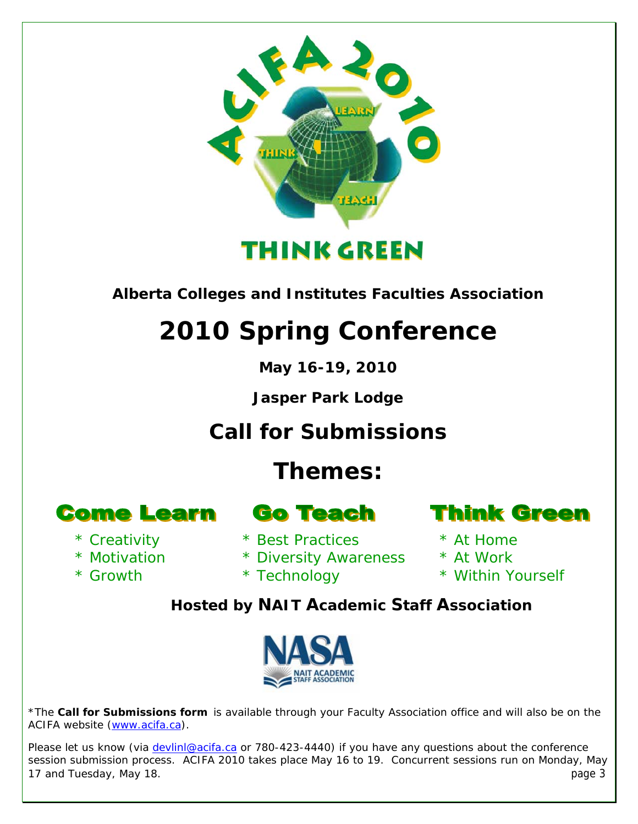

*Alberta Colleges and Institutes Faculties Association* 

# **2010 Spring Conference**

**May 16-19, 2010** 

**Jasper Park Lodge** 

*Call for Submissions* 

### **Themes:**

**Come Learn** 

- \* Creativity
- \* Motivation

\* Growth

- 
- **Go Teach**
- \* Best Practices
- \* Diversity Awareness
	- \* Technology

### **Think Green**

- \* At Home
- \* At Work
- \* Within Yourself

*Hosted by NAIT Academic Staff Association* 



\*The **Call for Submissions form** is available through your Faculty Association office and will also be on the ACIFA website [\(www.acifa.ca\)](http://www.acifa.ca/).

Please let us know (via *devlinl@acifa.ca* or 780-423-4440) if you have any questions about the conference session submission process. ACIFA 2010 takes place May 16 to 19. Concurrent sessions run on Monday, May 17 and Tuesday, May 18. page 3 and Tuesday, May 18. page 3 and Tuesday, May 18. page 3 and Tuesday, May 18. page 3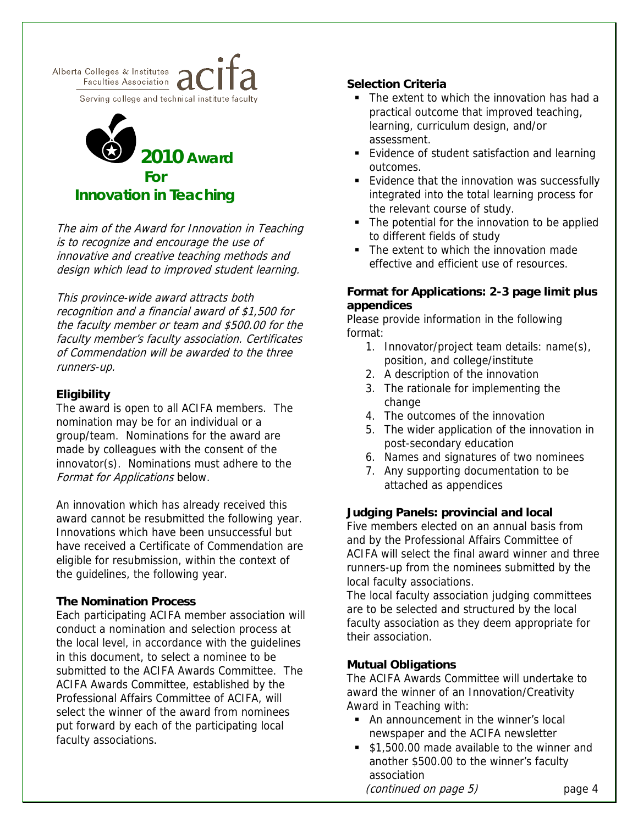



The aim of the Award for Innovation in Teaching<br>The putulation the innovation in Teaching<br>to different fields of study is to recognize and encourage the use of innovative and creative teaching methods and design which lead to improved student learning.

**appendices** This province-wide award attracts both recognition and a financial award of \$1,500 for the faculty member or team and \$500.00 for the faculty member's faculty association. Certificates of Commendation will be awarded to the three runners-up.

٦

Eligibility<br>The award is open to all ACIFA members. The **and the act of the change**<br>A The suit nomination may be for an individual or a group/team. Nominations for the award are made by colleagues with the consent of the innovator(s). Nominations must adhere to the Format for Applications below.

An innovation which has already received this award cannot be resubmitted the following year. Innovations which have been unsuccessful but have received a Certificate of Commendation are eligible for resubmission, within the context of the guidelines, the following year.

### **The Nomination Process**

Each participating ACIFA member association will conduct a nomination and selection process at the local level, in accordance with the guidelines in this document, to select a nominee to be submitted to the ACIFA Awards Committee. The ACIFA Awards Committee, established by the Professional Affairs Committee of ACIFA, will select the winner of the award from nominees put forward by each of the participating local faculty associations.

#### **Selection Criteria**

- The extent to which the innovation has had a practical outcome that improved teaching, learning, curriculum design, and/or assessment.
- **2010 Award**  Evidence of student satisfaction and learning outcomes.
- **For For Evidence that the innovation was successfully** integrated into the total learning process for the relevant course of study.
	- The potential for the innovation to be applied
	- The extent to which the innovation made effective and efficient use of resources.

## **Format for Applications: 2-3 page limit plus**

Please provide information in the following format:

- 1. Innovator/project team details: name(s), position, and college/institute
- 2. A description of the innovation
- 3. The rationale for implementing the
- 4. The outcomes of the innovation
- 5. The wider application of the innovation in post-secondary education
- 6. Names and signatures of two nominees
- 7. Any supporting documentation to be attached as appendices

### **Judging Panels: provincial and local**

Five members elected on an annual basis from and by the Professional Affairs Committee of ACIFA will select the final award winner and three runners-up from the nominees submitted by the local faculty associations.

The local faculty association judging committees are to be selected and structured by the local faculty association as they deem appropriate for their association.

### **Mutual Obligations**

The ACIFA Awards Committee will undertake to award the winner of an Innovation/Creativity Award in Teaching with:

- An announcement in the winner's local newspaper and the ACIFA newsletter
- **51,500.00 made available to the winner and** another \$500.00 to the winner's faculty association (*continued on page 5*) page 4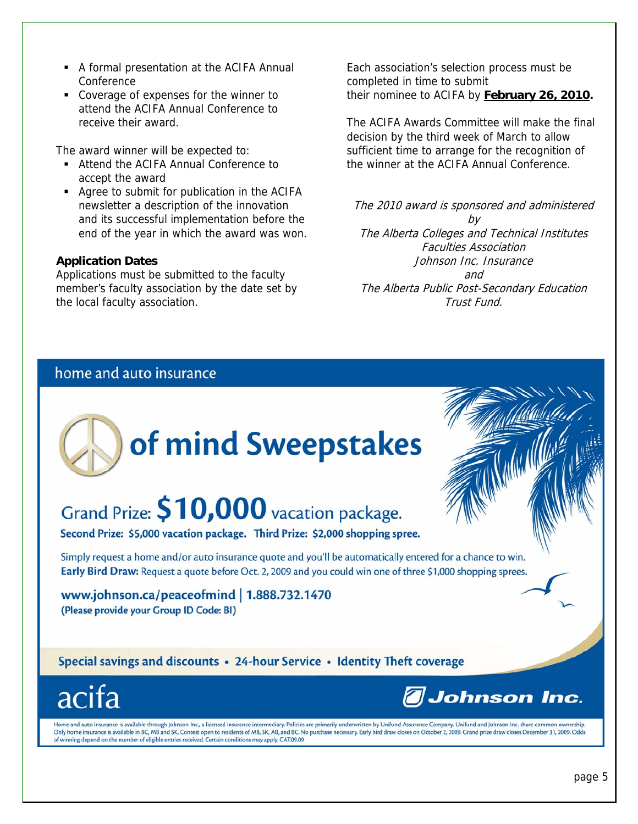- A formal presentation at the ACIFA Annual **Conference**
- Coverage of expenses for the winner to attend the ACIFA Annual Conference to receive their award.

The award winner will be expected to:

- Attend the ACIFA Annual Conference to accept the award
- Agree to submit for publication in the ACIFA newsletter a description of the innovation and its successful implementation before the end of the year in which the award was won.

#### **Application Dates**

Applications must be submitted to the faculty member's faculty association by the date set by the local faculty association.

Each association's selection process must be completed in time to submit their nominee to ACIFA by **February 26, 2010.**

The ACIFA Awards Committee will make the final decision by the third week of March to allow sufficient time to arrange for the recognition of the winner at the ACIFA Annual Conference.

The 2010 award is sponsored and administered by The Alberta Colleges and Technical Institutes Faculties Association Johnson Inc. Insurance and The Alberta Public Post-Secondary Education Trust Fund.

### home and auto insurance